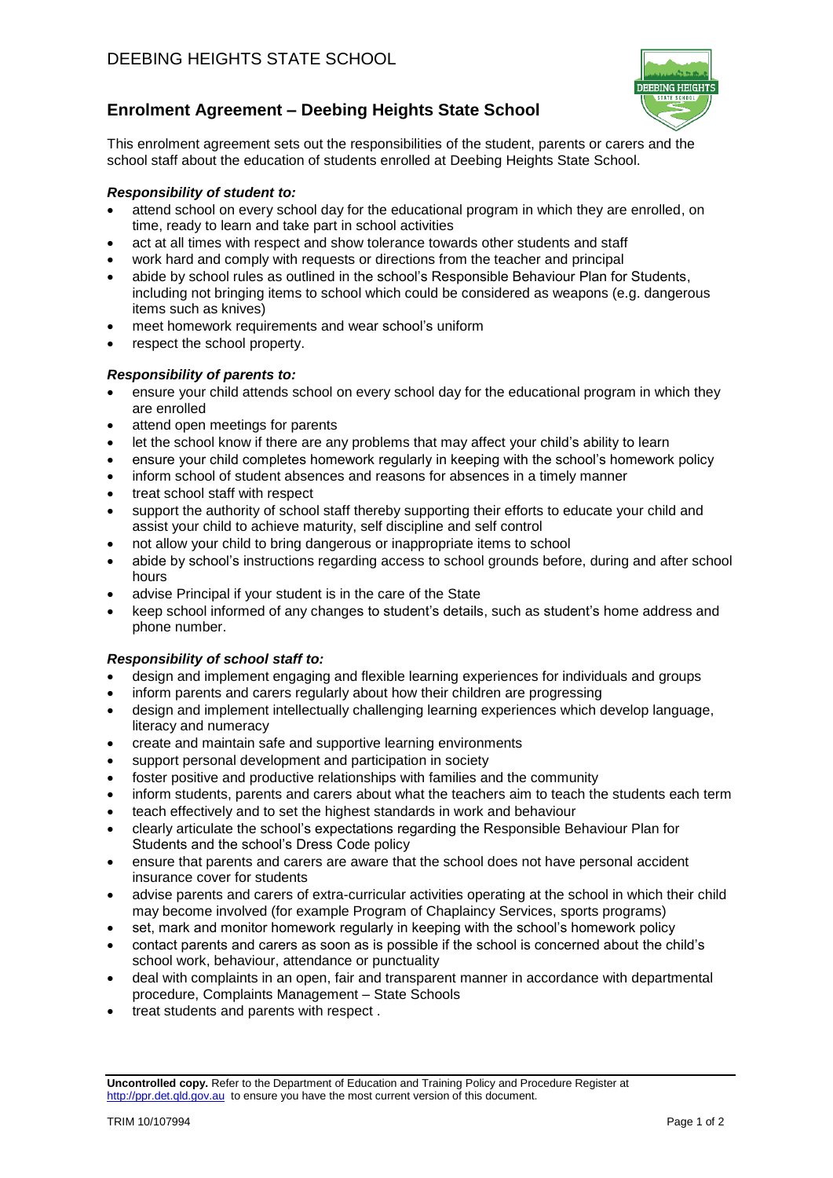

# **Enrolment Agreement – Deebing Heights State School**

This enrolment agreement sets out the responsibilities of the student, parents or carers and the school staff about the education of students enrolled at Deebing Heights State School.

#### *Responsibility of student to:*

- attend school on every school day for the educational program in which they are enrolled, on time, ready to learn and take part in school activities
- act at all times with respect and show tolerance towards other students and staff
- work hard and comply with requests or directions from the teacher and principal
- abide by school rules as outlined in the school's Responsible Behaviour Plan for Students, including not bringing items to school which could be considered as weapons (e.g. dangerous items such as knives)
- meet homework requirements and wear school's uniform
- respect the school property.

### *Responsibility of parents to:*

- ensure your child attends school on every school day for the educational program in which they are enrolled
- attend open meetings for parents
- let the school know if there are any problems that may affect your child's ability to learn
- ensure your child completes homework regularly in keeping with the school's homework policy
- inform school of student absences and reasons for absences in a timely manner
- treat school staff with respect
- support the authority of school staff thereby supporting their efforts to educate your child and assist your child to achieve maturity, self discipline and self control
- not allow your child to bring dangerous or inappropriate items to school
- abide by school's instructions regarding access to school grounds before, during and after school hours
- advise Principal if your student is in the care of the State
- keep school informed of any changes to student's details, such as student's home address and phone number.

### *Responsibility of school staff to:*

- design and implement engaging and flexible learning experiences for individuals and groups
- inform parents and carers regularly about how their children are progressing
- design and implement intellectually challenging learning experiences which develop language, literacy and numeracy
- create and maintain safe and supportive learning environments
- support personal development and participation in society
- foster positive and productive relationships with families and the community
- inform students, parents and carers about what the teachers aim to teach the students each term
- teach effectively and to set the highest standards in work and behaviour
- clearly articulate the school's expectations regarding the Responsible Behaviour Plan for Students and the school's Dress Code policy
- ensure that parents and carers are aware that the school does not have personal accident insurance cover for students
- advise parents and carers of extra-curricular activities operating at the school in which their child may become involved (for example Program of Chaplaincy Services, sports programs)
- set, mark and monitor homework regularly in keeping with the school's homework policy
- contact parents and carers as soon as is possible if the school is concerned about the child's school work, behaviour, attendance or punctuality
- deal with complaints in an open, fair and transparent manner in accordance with departmental procedure, Complaints Management – State Schools
- treat students and parents with respect .